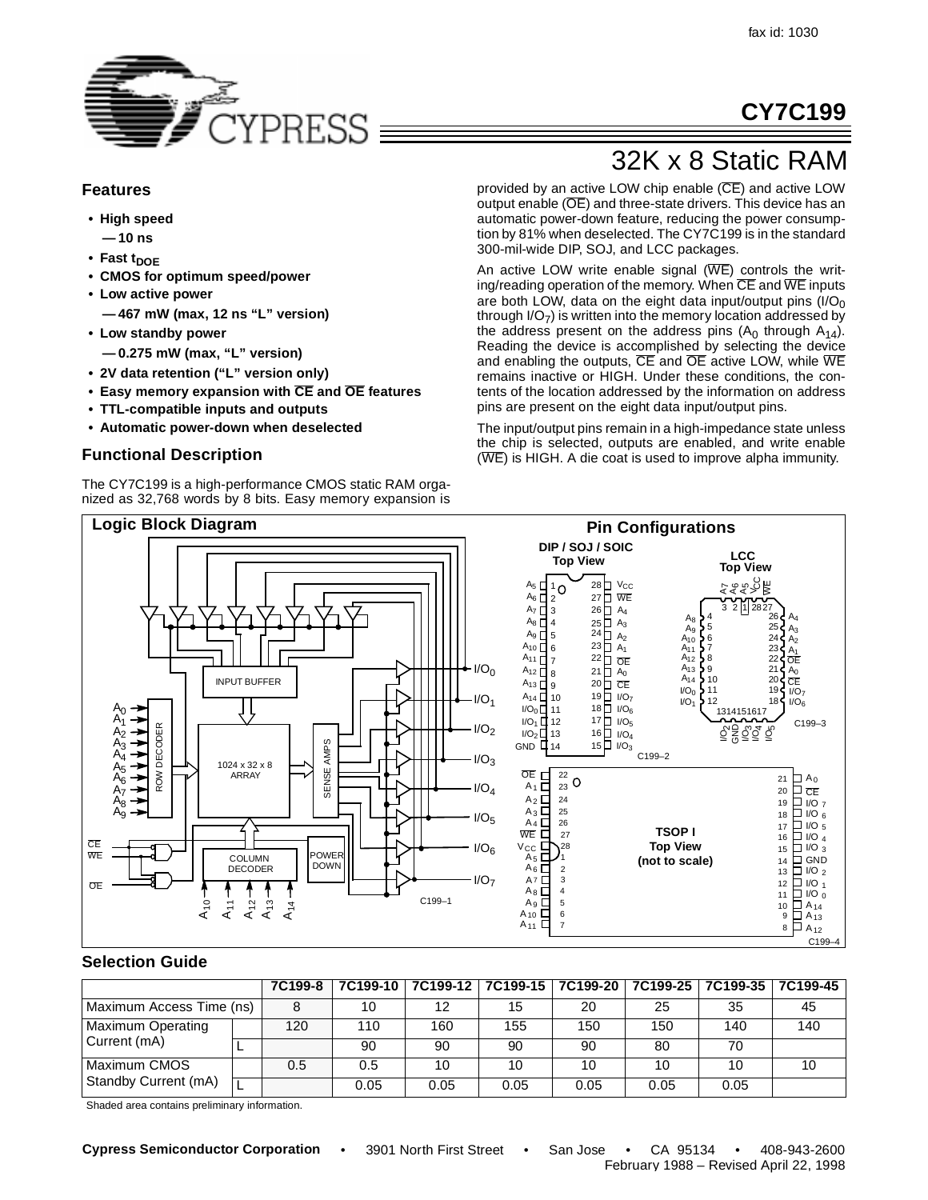**CY7C199**



### **Features**

- **High speed**
- **10 ns**
- Fast t<sub>DOE</sub>
- **CMOS for optimum speed/power**
- **Low active power**
	- **467 mW (max, 12 ns "L" version)**
- **Low standby power**
- **0.275 mW (max, "L" version)**
- **2V data retention ("L" version only)**
- **Easy memory expansion with CE and OE features**
- **TTL-compatible inputs and outputs**
- **Automatic power-down when deselected**

# **Functional Description**

The CY7C199 is a high-performance CMOS static RAM organized as 32,768 words by 8 bits. Easy memory expansion is

# 32K x 8 Static RAM

provided by an active LOW chip enable (CE) and active LOW output enable (OE) and three-state drivers. This device has an automatic power-down feature, reducing the power consumption by 81% when deselected. The CY7C199 is in the standard 300-mil-wide DIP, SOJ, and LCC packages.

An active LOW write enable signal  $(WE)$  controls the writing/reading operation of the memory. When  $\overline{CE}$  and  $\overline{WE}$  inputs are both LOW, data on the eight data input/output pins  $(1/O<sub>0</sub>)$ through  $I/O<sub>7</sub>$ ) is written into the memory location addressed by the address present on the address pins  $(A_0$  through  $A_{14}$ ). Reading the device is accomplished by selecting the device and enabling the outputs, CE and OE active LOW, while WE remains inactive or HIGH. Under these conditions, the contents of the location addressed by the information on address pins are present on the eight data input/output pins.

The input/output pins remain in a high-impedance state unless the chip is selected, outputs are enabled, and write enable (WE) is HIGH. A die coat is used to improve alpha immunity.



### **Selection Guide**

|                          |  | 7C199-8 |      | 7C199-10   7C199-12   7C199-15   7C199-20   7C199-25   7C199-35   7C199-45 |      |      |      |      |     |
|--------------------------|--|---------|------|----------------------------------------------------------------------------|------|------|------|------|-----|
| Maximum Access Time (ns) |  |         | 10   | 12                                                                         | 15   | 20   | 25   | 35   | 45  |
| <b>Maximum Operating</b> |  | 120     | 110  | 160                                                                        | 155  | 150  | 150  | 140  | 140 |
| Current (mA)             |  |         | 90   | 90                                                                         | 90   | 90   | 80   | 70   |     |
| I Maximum CMOS           |  | 0.5     | 0.5  | 10                                                                         | 10   | 10   | 10   | 10   | 10  |
| Standby Current (mA)     |  |         | 0.05 | 0.05                                                                       | 0.05 | 0.05 | 0.05 | 0.05 |     |

Shaded area contains preliminary information.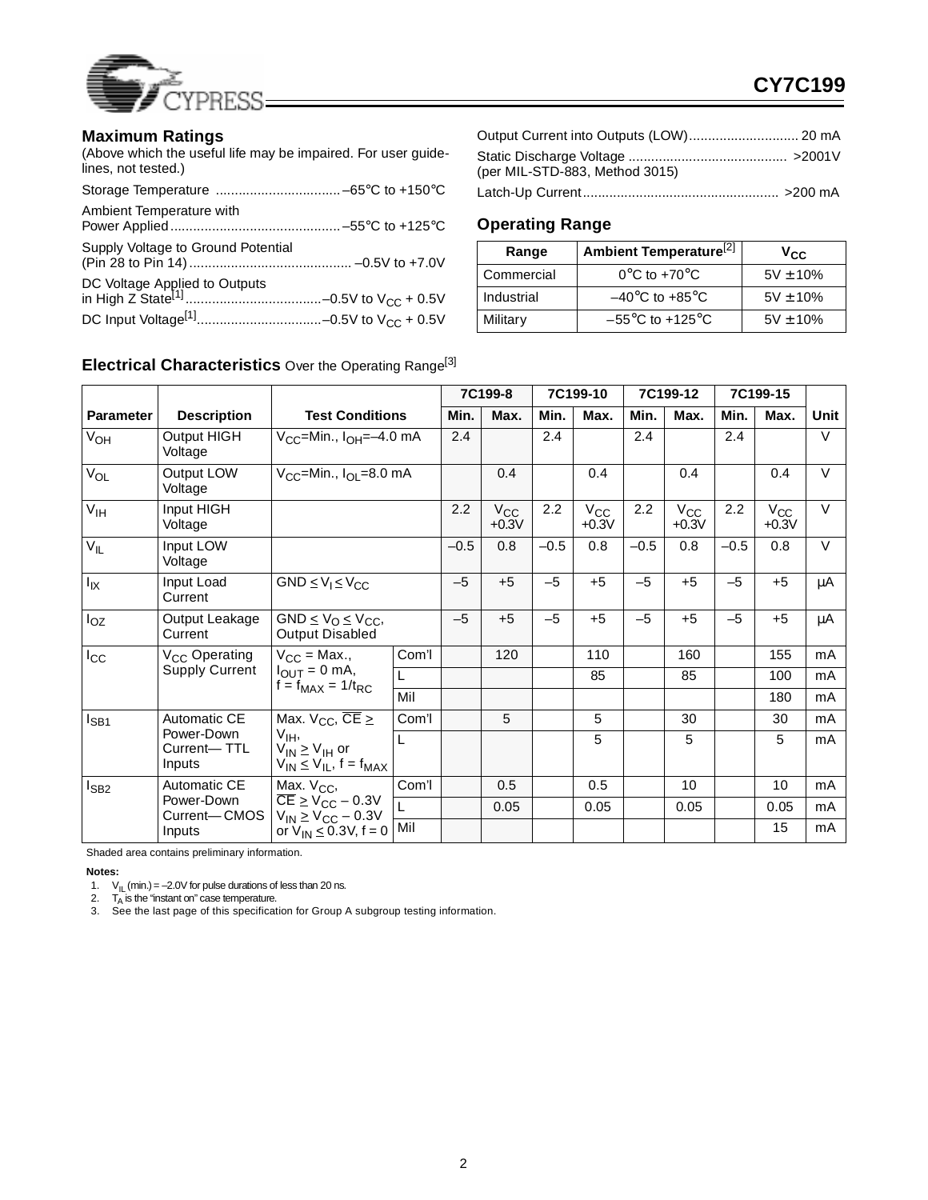

### **Maximum Ratings**

(Above which the useful life may be impaired. For user guidelines, not tested.)

| Ambient Temperature with           |  |
|------------------------------------|--|
| Supply Voltage to Ground Potential |  |
|                                    |  |
|                                    |  |

| (per MIL-STD-883, Method 3015) |                        |
|--------------------------------|------------------------|
| $I$ atch $I$ in Curront        | $\sim$ 200 m $\Lambda$ |

Latch-Up Current.................................................... >200 mA

# **Operating Range**

| Range      | Ambient Temperature <sup>[2]</sup>   | $v_{\rm cc}$  |  |  |
|------------|--------------------------------------|---------------|--|--|
| Commercial | $0^{\circ}$ C to +70 $^{\circ}$ C    | $5V \pm 10\%$ |  |  |
| Industrial | $-40^{\circ}$ C to $+85^{\circ}$ C   | $5V \pm 10\%$ |  |  |
| Military   | $-55^{\circ}$ C to +125 $^{\circ}$ C | $5V \pm 10\%$ |  |  |

# **Electrical Characteristics** Over the Operating Range[3]

|                  |                                     |                                                                                             |       |        | 7C199-8                 |        | 7C199-10            |        | 7C199-12            | 7C199-15 |                         |        |
|------------------|-------------------------------------|---------------------------------------------------------------------------------------------|-------|--------|-------------------------|--------|---------------------|--------|---------------------|----------|-------------------------|--------|
| <b>Parameter</b> | <b>Description</b>                  | <b>Test Conditions</b>                                                                      |       | Min.   | Max.                    | Min.   | Max.                | Min.   | Max.                | Min.     | Max.                    | Unit   |
| V <sub>OH</sub>  | Output HIGH<br>Voltage              | $V_{CC}$ =Min., $I_{OH}$ =-4.0 mA                                                           |       | 2.4    |                         | 2.4    |                     | 2.4    |                     | 2.4      |                         | $\vee$ |
| $V_{OL}$         | Output LOW<br>Voltage               | $V_{CC}$ =Min., $I_{OL}$ =8.0 mA                                                            |       |        | 0.4                     |        | 0.4                 |        | 0.4                 |          | 0.4                     | $\vee$ |
| V <sub>IH</sub>  | Input HIGH<br>Voltage               |                                                                                             |       | 2.2    | $V_{\rm CC}$<br>$+0.3V$ | 2.2    | $V_{CC}$<br>$+0.3V$ | 2.2    | $V_{CC}$<br>$+0.3V$ | 2.2      | $V_{\rm CC}$<br>$+0.3V$ | $\vee$ |
| $V_{IL}$         | Input LOW<br>Voltage                |                                                                                             |       | $-0.5$ | 0.8                     | $-0.5$ | 0.8                 | $-0.5$ | 0.8                 | $-0.5$   | 0.8                     | $\vee$ |
| $I_{IX}$         | Input Load<br>Current               | $GND \le V_1 \le V_{CC}$                                                                    |       | $-5$   | $+5$                    | $-5$   | $+5$                | $-5$   | $+5$                | $-5$     | $+5$                    | μA     |
| $I_{OZ}$         | Output Leakage<br>Current           | $GND \leq V_O \leq V_{CC}$<br><b>Output Disabled</b>                                        |       | $-5$   | $+5$                    | $-5$   | $+5$                | $-5$   | $+5$                | $-5$     | $+5$                    | μA     |
| $I_{\rm CC}$     | V <sub>CC</sub> Operating           | $V_{CC}$ = Max.,                                                                            | Com'l |        | 120                     |        | 110                 |        | 160                 |          | 155                     | mA     |
|                  | <b>Supply Current</b>               | $I_{OUT} = 0$ mA,<br>$f = f_{MAX} = 1/t_{RC}$                                               | L     |        |                         |        | 85                  |        | 85                  |          | 100                     | mA     |
|                  |                                     |                                                                                             | Mil   |        |                         |        |                     |        |                     |          | 180                     | mA     |
| $I_{SB1}$        | Automatic CE                        | Max. $V_{CC}$ , $\overline{CE}$ $\geq$                                                      | Com'l |        | 5                       |        | 5                   |        | 30                  |          | 30                      | mA     |
|                  | Power-Down<br>Current-TTL<br>Inputs | V <sub>IH</sub> ,<br>$V_{IN} \geq V_{IH}$ or<br>$V_{IN} \leq V_{IL}$ , f = f <sub>MAX</sub> | L     |        |                         |        | 5                   |        | 5                   |          | 5                       | mA     |
| $I_{SB2}$        | Automatic CE                        | Max. V <sub>CC</sub> ,                                                                      | Com'l |        | 0.5                     |        | 0.5                 |        | 10                  |          | 10                      | mA     |
|                  | Power-Down<br>Current-CMOS          | $\overline{\text{CE}}$ $\geq$ $\text{V}_{\text{CC}}$ – 0.3V<br>$V_{IN} \geq V_{CC} - 0.3V$  | L     |        | 0.05                    |        | 0.05                |        | 0.05                |          | 0.05                    | mA     |
|                  | Inputs                              | or $V_{IN} \le 0.3V$ , f = 0                                                                | Mil   |        |                         |        |                     |        |                     |          | 15                      | mA     |

Shaded area contains preliminary information.

**Notes:**

1.  $V_{\parallel}$  (min.) = -2.0V for pulse durations of less than 20 ns.

2. T<sub>A</sub> is the "instant on" case temperature.<br>3. See the last page of this specification for Group A subgroup testing information.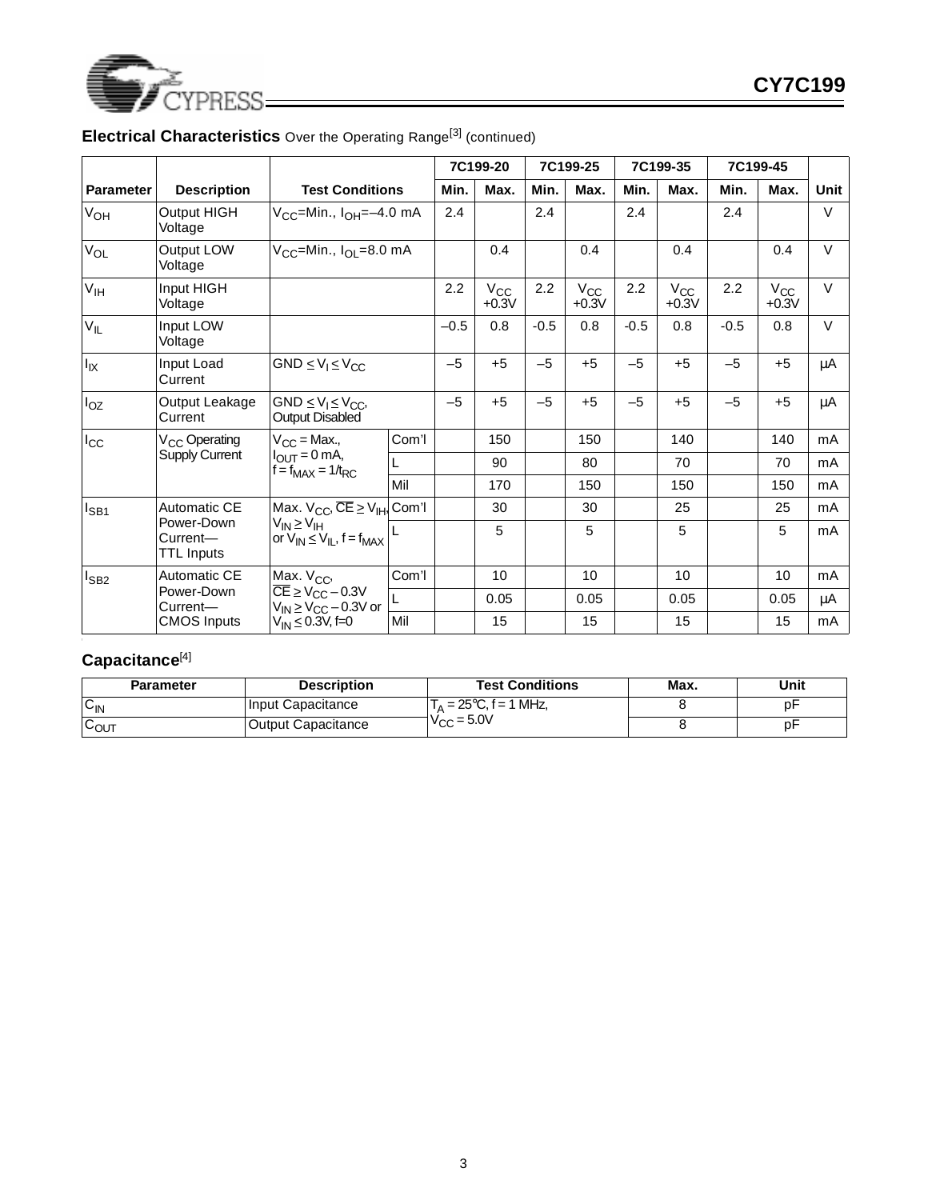

|                 |                                                    |                                                                                        |       |        | 7C199-20                |        | 7C199-25            |        | 7C199-35            |        | 7C199-45            |        |
|-----------------|----------------------------------------------------|----------------------------------------------------------------------------------------|-------|--------|-------------------------|--------|---------------------|--------|---------------------|--------|---------------------|--------|
| Parameter       | <b>Description</b>                                 | <b>Test Conditions</b>                                                                 |       | Min.   | Max.                    | Min.   | Max.                | Min.   | Max.                | Min.   | Max.                | Unit   |
| $V_{OH}$        | Output HIGH<br>Voltage                             | V <sub>CC</sub> =Min., I <sub>OH</sub> =-4.0 mA                                        |       | 2.4    |                         | 2.4    |                     | 2.4    |                     | 2.4    |                     | V      |
| $V_{OL}$        | Output LOW<br>Voltage                              | V <sub>CC</sub> =Min., I <sub>OL</sub> =8.0 mA                                         |       |        | 0.4                     |        | 0.4                 |        | 0.4                 |        | 0.4                 | $\vee$ |
| V <sub>IH</sub> | Input HIGH<br>Voltage                              |                                                                                        |       | 2.2    | $V_{\rm CC}$<br>$+0.3V$ | 2.2    | $V_{CC}$<br>$+0.3V$ | 2.2    | $V_{CC}$<br>$+0.3V$ | 2.2    | $V_{CC}$<br>$+0.3V$ | $\vee$ |
| $V_{IL}$        | Input LOW<br>Voltage                               |                                                                                        |       | $-0.5$ | 0.8                     | $-0.5$ | 0.8                 | $-0.5$ | 0.8                 | $-0.5$ | 0.8                 | $\vee$ |
| $I_{IX}$        | Input Load<br>Current                              | $GND \le V_1 \le V_{CC}$                                                               |       | $-5$   | $+5$                    | $-5$   | $+5$                | $-5$   | $+5$                | $-5$   | $+5$                | μA     |
| $I_{OZ}$        | Output Leakage<br>Current                          | $GND \le V_1 \le V_{CC}$<br><b>Output Disabled</b>                                     |       | $-5$   | $+5$                    | $-5$   | $+5$                | $-5$   | $+5$                | $-5$   | $+5$                | μA     |
| $I_{\rm CC}$    | V <sub>CC</sub> Operating<br><b>Supply Current</b> | $V_{CC}$ = Max.,<br>$I_{\text{OUT}} = 0$ mA,<br>$f = f_{MAX} = 1/t_{RC}$               | Com'l |        | 150                     |        | 150                 |        | 140                 |        | 140                 | mA     |
|                 |                                                    |                                                                                        | L     |        | 90                      |        | 80                  |        | 70                  |        | 70                  | mA     |
|                 |                                                    |                                                                                        | Mil   |        | 170                     |        | 150                 |        | 150                 |        | 150                 | mA     |
| $I_{SB1}$       | <b>Automatic CE</b>                                | Max. $V_{CC}$ , $\overline{CE} \geq V_{HH}$ , Com'l                                    |       |        | 30                      |        | 30                  |        | 25                  |        | 25                  | mA     |
|                 | Power-Down<br>Current-<br><b>TTL Inputs</b>        | $V_{IN} \geq V_{IH}$<br>or $V_{IN} \leq V_{IL}$ , f = f <sub>MAX</sub>                 |       |        | 5                       |        | 5                   |        | 5                   |        | 5                   | mA     |
| $I_{SB2}$       | Automatic CE                                       | Max. V <sub>CC</sub> ,                                                                 | Com'l |        | 10                      |        | 10                  |        | 10                  |        | 10                  | mA     |
|                 | Power-Down<br>Current-                             | $\overline{\text{CE}}$ $\geq$ $V_{\text{CC}}$ - 0.3V<br>$V_{IN} \geq V_{CC} - 0.3V$ or |       |        | 0.05                    |        | 0.05                |        | 0.05                |        | 0.05                | μA     |
|                 | <b>CMOS Inputs</b>                                 | $V_{\text{IN}} \le 0.3V$ , f=0                                                         | Mil   |        | 15                      |        | 15                  |        | 15                  |        | 15                  | mA     |

<u> 1989 - Johann Barbara, martxa amerikan p</u>

# **Electrical Characteristics** Over the Operating Range<sup>[3]</sup> (continued)

# **Capacitance**[4]

| Parameter | <b>Description</b>        | <b>Test Conditions</b>          | Max. | Unit |
|-----------|---------------------------|---------------------------------|------|------|
| ∨៲Ν       | Input Capacitance         | $T_{\Delta}$ = 25°C, f = 1 MHz, |      | p⊦   |
| ∪OUT      | <b>Output Capacitance</b> | $V_{\text{CC}} = 5.0V$          |      |      |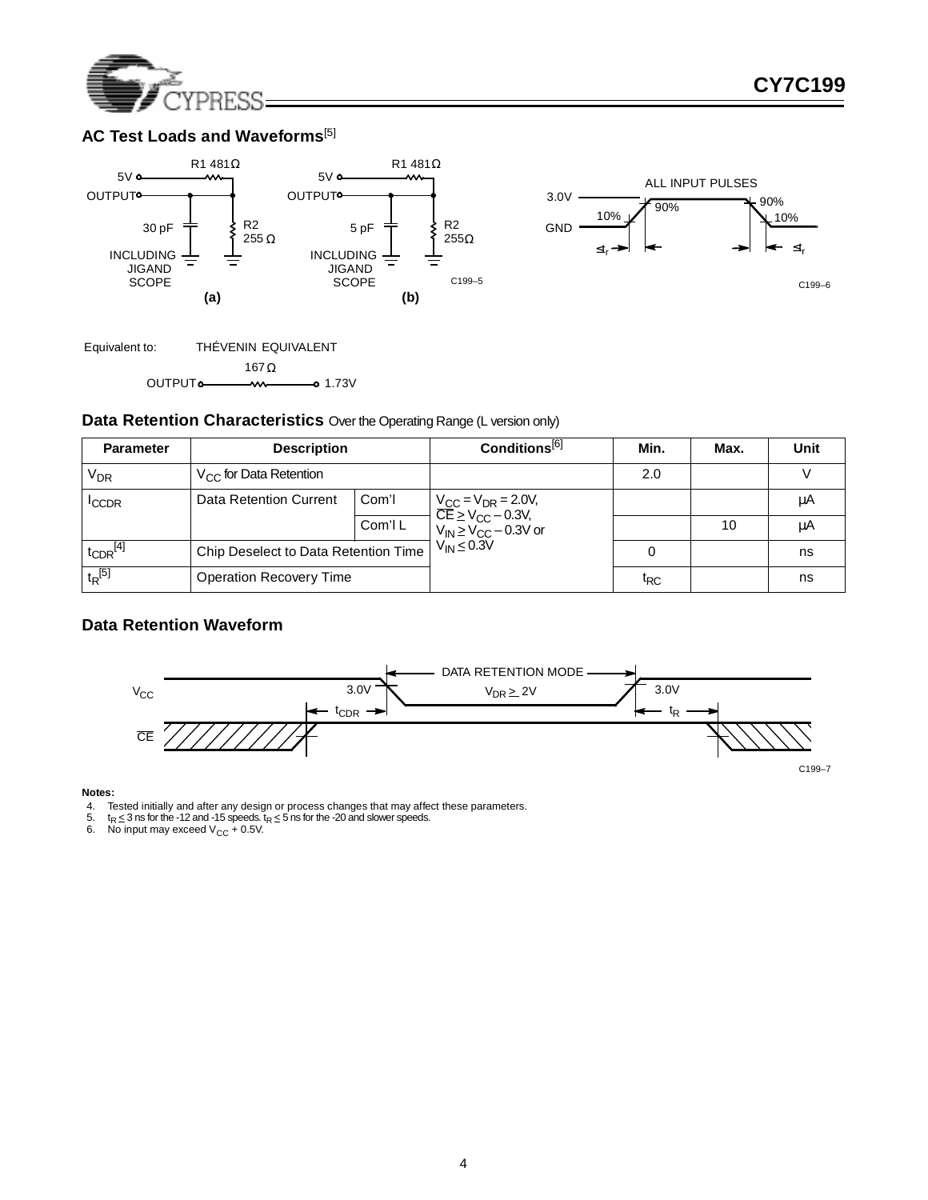

# **AC Test Loads and Waveforms**<sup>[5]</sup>





### **Data Retention Characteristics** Over the Operating Range (L version only)

| <b>Parameter</b>     | <b>Description</b>                   |         | Conditions <sup>[6]</sup>                                                                                            | Min.            | Max. | Unit |
|----------------------|--------------------------------------|---------|----------------------------------------------------------------------------------------------------------------------|-----------------|------|------|
| V <sub>DR</sub>      | $V_{CC}$ for Data Retention          |         |                                                                                                                      | 2.0             |      |      |
| <sup>I</sup> CCDR    | Data Retention Current               | Com'l   |                                                                                                                      |                 |      | μA   |
|                      |                                      | Com'l L | $\frac{V_{CC}}{CE}$ = $V_{DR}$ = 2.0V,<br>$\frac{V_{C}}{V_{IN}}$ ≥ $V_{CC}$ – 0.3V,<br>$V_{IN}$ ≥ $V_{CC}$ – 0.3V or |                 | 10   | μA   |
| $t_{\rm CDR}^{[4]}$  | Chip Deselect to Data Retention Time |         | $V_{IN} \leq 0.3V$                                                                                                   |                 |      | ns   |
| $t_R$ <sup>[5]</sup> | <b>Operation Recovery Time</b>       |         |                                                                                                                      | t <sub>RC</sub> |      | ns   |

## **Data Retention Waveform**



#### **Notes:**

- 4. Tested initially and after any design or process changes that may affect these parameters.<br>5. t<sub>R ≤</sub> 3 ns for the -12 and -15 speeds. t<sub>R ≤</sub> 5 ns for the -20 and slower speeds.
- 
- 6. No input may exceed  $V_{CC}$  + 0.5V.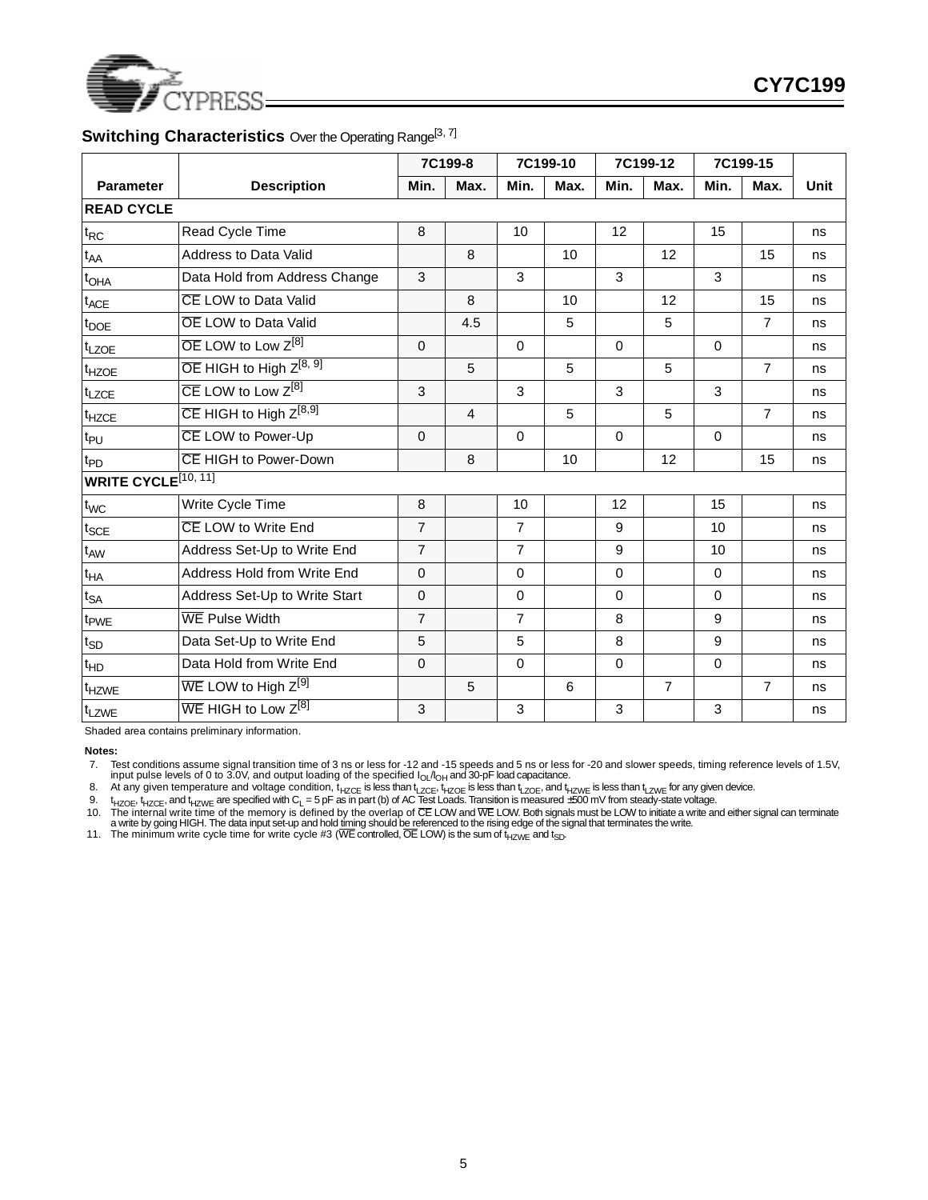

# **Switching Characteristics** Over the Operating Range<sup>[3, 7]</sup>

|                             |                                                 |                | 7C199-8        |                | 7C199-10       | 7C199-12    |                | 7C199-15     |                |      |
|-----------------------------|-------------------------------------------------|----------------|----------------|----------------|----------------|-------------|----------------|--------------|----------------|------|
| <b>Parameter</b>            | <b>Description</b>                              | Min.           | Max.           | Min.           | Max.           | Min.        | Max.           | Min.         | Max.           | Unit |
| <b>READ CYCLE</b>           |                                                 |                |                |                |                |             |                |              |                |      |
| $t_{RC}$                    | Read Cycle Time                                 | 8              |                | 10             |                | 12          |                | 15           |                | ns   |
| $t_{AA}$                    | <b>Address to Data Valid</b>                    |                | 8              |                | 10             |             | 12             |              | 15             | ns   |
| t <sub>OHA</sub>            | Data Hold from Address Change                   | 3              |                | $\mathbf{3}$   |                | 3           |                | $\mathbf{3}$ |                | ns   |
| $t_{ACE}$                   | CE LOW to Data Valid                            |                | 8              |                | 10             |             | 12             |              | 15             | ns   |
| t <sub>DOE</sub>            | <b>OE LOW to Data Valid</b>                     |                | 4.5            |                | 5              |             | 5              |              | $\overline{7}$ | ns   |
| $t_{LZOE}$                  | $\overline{OE}$ LOW to Low $Z^{[8]}$            | $\Omega$       |                | $\Omega$       |                | $\Omega$    |                | $\Omega$     |                | ns   |
| t <sub>HZOE</sub>           | $\overline{OE}$ HIGH to High $Z^{[8, 9]}$       |                | 5              |                | 5              |             | 5              |              | $\overline{7}$ | ns   |
| $t_{LZCE}$                  | $\overline{\text{CE}}$ LOW to Low $Z^{[8]}$     | 3              |                | 3              |                | 3           |                | 3            |                | ns   |
| $t_{HZCE}$                  | $\overline{\text{CE}}$ HIGH to High $Z^{[8,9]}$ |                | $\overline{4}$ |                | 5              |             | 5              |              | $\overline{7}$ | ns   |
| $t_{PU}$                    | CE LOW to Power-Up                              | 0              |                | $\Omega$       |                | $\Omega$    |                | $\mathbf 0$  |                | ns   |
| $t_{PD}$                    | CE HIGH to Power-Down                           |                | 8              |                | 10             |             | 12             |              | 15             | ns   |
| <b>WRITE CYCLE</b> [10, 11] |                                                 |                |                |                |                |             |                |              |                |      |
| t <sub>WC</sub>             | Write Cycle Time                                | 8              |                | 10             |                | 12          |                | 15           |                | ns   |
| $t_{SCE}$                   | CE LOW to Write End                             | $\overline{7}$ |                | $\overline{7}$ |                | 9           |                | 10           |                | ns   |
| $t_{AW}$                    | Address Set-Up to Write End                     | $\overline{7}$ |                | $\overline{7}$ |                | 9           |                | 10           |                | ns   |
| $t_{HA}$                    | Address Hold from Write End                     | 0              |                | $\mathbf 0$    |                | 0           |                | $\mathbf 0$  |                | ns   |
| $t_{SA}$                    | Address Set-Up to Write Start                   | 0              |                | $\mathbf 0$    |                | 0           |                | $\mathbf 0$  |                | ns   |
| t <sub>PWE</sub>            | <b>WE Pulse Width</b>                           | $\overline{7}$ |                | $\overline{7}$ |                | 8           |                | 9            |                | ns   |
| $t_{SD}$                    | Data Set-Up to Write End                        | 5              |                | $\sqrt{5}$     |                | 8           |                | 9            |                | ns   |
| $t_{HD}$                    | Data Hold from Write End                        | 0              |                | $\Omega$       |                | $\mathbf 0$ |                | $\mathbf 0$  |                | ns   |
| t <sub>HZWE</sub>           | $WE$ LOW to High $Z^{[9]}$                      |                | 5              |                | $6\phantom{1}$ |             | $\overline{7}$ |              | $\overline{7}$ | ns   |
| tLZWE                       | $\overline{\text{WE}}$ HIGH to Low $Z^{[8]}$    | 3              |                | 3              |                | 3           |                | 3            |                | ns   |

Shaded area contains preliminary information.

**Notes:**

7. Test conditions assume signal transition time of 3 ns or less for -12 and -15 speeds and 5 ns or less for -20 and slower speeds, timing reference levels of 1.5V, input pulse levels of 0 to 3.0V, and output loading of th

8. At any given temperature and voltage condition, t<sub>HZCE</sub> is less than t<sub>LZCE</sub>, t<sub>HZOE</sub> is less than t<sub>LZWE</sub> is less than t<sub>LZWE</sub> for any given device.

9.  $t_{HZOE}$ ,  $t_{HZCE}$ , and  $t_{HZWE}$  are specified with C<sub>L</sub> = 5 pF as in part (b) of AC Test Loads. Transition is measured ±500 mV from steady-state voltage.<br>10. The internal write time of the memory is defined by the ove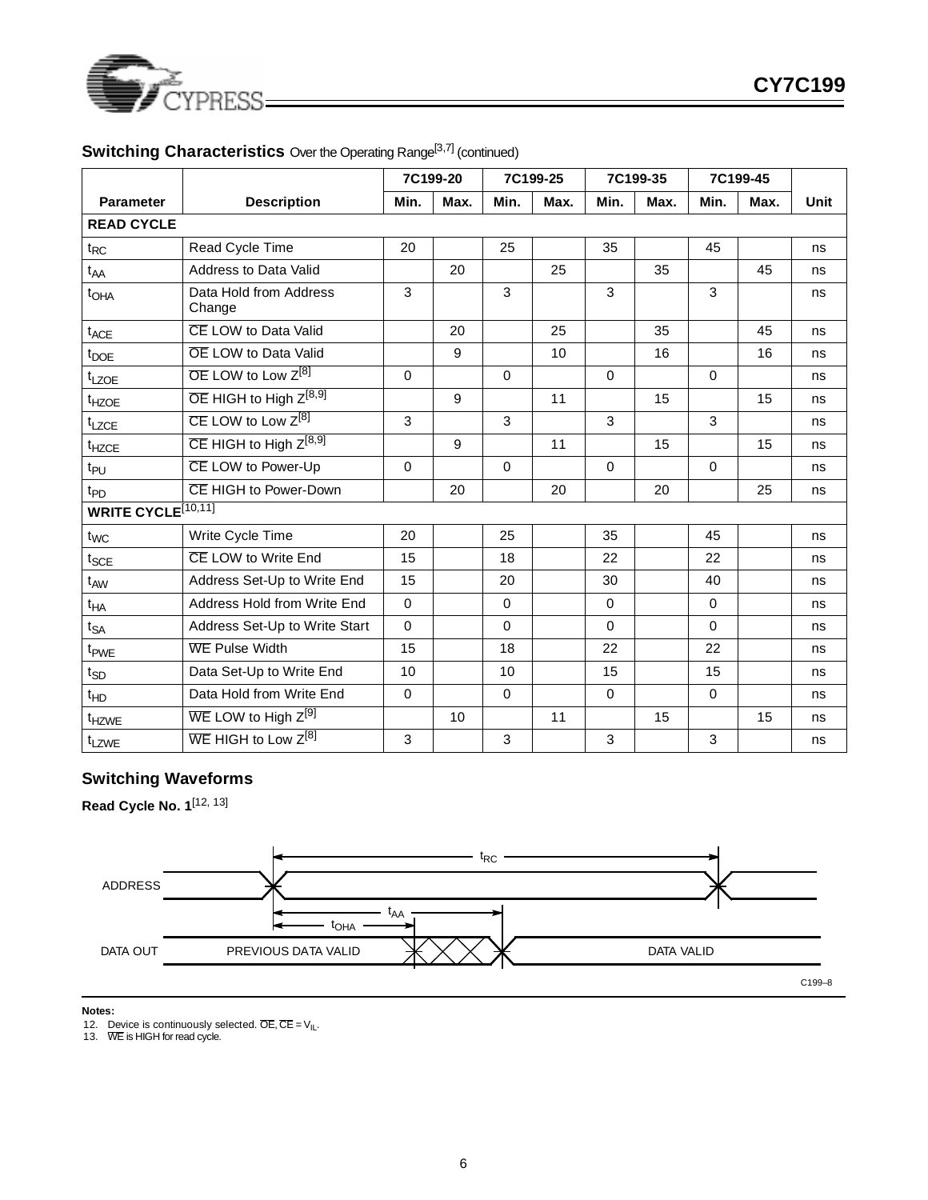

|                                |                                                 |             | 7C199-20 |             | 7C199-25 |             | 7C199-35 |             | 7C199-45 |      |
|--------------------------------|-------------------------------------------------|-------------|----------|-------------|----------|-------------|----------|-------------|----------|------|
| <b>Parameter</b>               | <b>Description</b>                              | Min.        | Max.     | Min.        | Max.     | Min.        | Max.     | Min.        | Max.     | Unit |
| <b>READ CYCLE</b>              |                                                 |             |          |             |          |             |          |             |          |      |
| $t_{RC}$                       | Read Cycle Time                                 | 20          |          | 25          |          | 35          |          | 45          |          | ns   |
| t <sub>AA</sub>                | <b>Address to Data Valid</b>                    |             | 20       |             | 25       |             | 35       |             | 45       | ns   |
| t <sub>OHA</sub>               | Data Hold from Address<br>Change                | 3           |          | 3           |          | 3           |          | 3           |          | ns   |
| t <sub>ACE</sub>               | CE LOW to Data Valid                            |             | 20       |             | 25       |             | 35       |             | 45       | ns   |
| t <sub>DOE</sub>               | <b>OE LOW to Data Valid</b>                     |             | 9        |             | 10       |             | 16       |             | 16       | ns   |
| t <sub>LZOE</sub>              | $\overline{OE}$ LOW to Low $Z^{[8]}$            | $\mathbf 0$ |          | $\Omega$    |          | $\mathbf 0$ |          | $\mathbf 0$ |          | ns   |
| t <sub>HZOE</sub>              | OE HIGH to High Z <sup>[8,9]</sup>              |             | 9        |             | 11       |             | 15       |             | 15       | ns   |
| t <sub>LZCE</sub>              | $\overline{CE}$ LOW to Low $Z^{[8]}$            | 3           |          | 3           |          | 3           |          | 3           |          | ns   |
| t <sub>HZCE</sub>              | $\overline{\text{CE}}$ HIGH to High $Z^{[8,9]}$ |             | 9        |             | 11       |             | 15       |             | 15       | ns   |
| t <sub>PU</sub>                | CE LOW to Power-Up                              | $\Omega$    |          | $\Omega$    |          | $\Omega$    |          | $\Omega$    |          | ns   |
| t <sub>PD</sub>                | CE HIGH to Power-Down                           |             | 20       |             | 20       |             | 20       |             | 25       | ns   |
| WRITE CYCLE <sup>[10,11]</sup> |                                                 |             |          |             |          |             |          |             |          |      |
| $t_{WC}$                       | Write Cycle Time                                | 20          |          | 25          |          | 35          |          | 45          |          | ns   |
| $t_{SCE}$                      | CE LOW to Write End                             | 15          |          | 18          |          | 22          |          | 22          |          | ns   |
| $t_{AW}$                       | Address Set-Up to Write End                     | 15          |          | 20          |          | 30          |          | 40          |          | ns   |
| $t_{HA}$                       | Address Hold from Write End                     | $\mathbf 0$ |          | $\mathbf 0$ |          | $\mathbf 0$ |          | $\mathbf 0$ |          | ns   |
| $t_{SA}$                       | Address Set-Up to Write Start                   | $\Omega$    |          | $\Omega$    |          | $\Omega$    |          | $\Omega$    |          | ns   |
| t <sub>PWE</sub>               | <b>WE Pulse Width</b>                           | 15          |          | 18          |          | 22          |          | 22          |          | ns   |
| $t_{SD}$                       | Data Set-Up to Write End                        | 10          |          | 10          |          | 15          |          | 15          |          | ns   |
| $t_{HD}$                       | Data Hold from Write End                        | $\mathbf 0$ |          | $\Omega$    |          | $\Omega$    |          | $\Omega$    |          | ns   |
| $t_{HZWE}$                     | WE LOW to High Z <sup>[9]</sup>                 |             | 10       |             | 11       |             | 15       |             | 15       | ns   |
| t <sub>LZWE</sub>              | $\overline{\text{WE}}$ HIGH to Low $Z^{[8]}$    | 3           |          | 3           |          | 3           |          | 3           |          | ns   |

# **Switching Characteristics** Over the Operating Range<sup>[3,7]</sup> (continued)

# **Switching Waveforms**

**Read Cycle No. 1**[12, 13]



**Notes:**

12. Device is continuously selected.  $\overline{\text{OE}}, \overline{\text{CE}} = \vee_{\text{IL}}$ .<br>13. WE is HIGH for read cycle.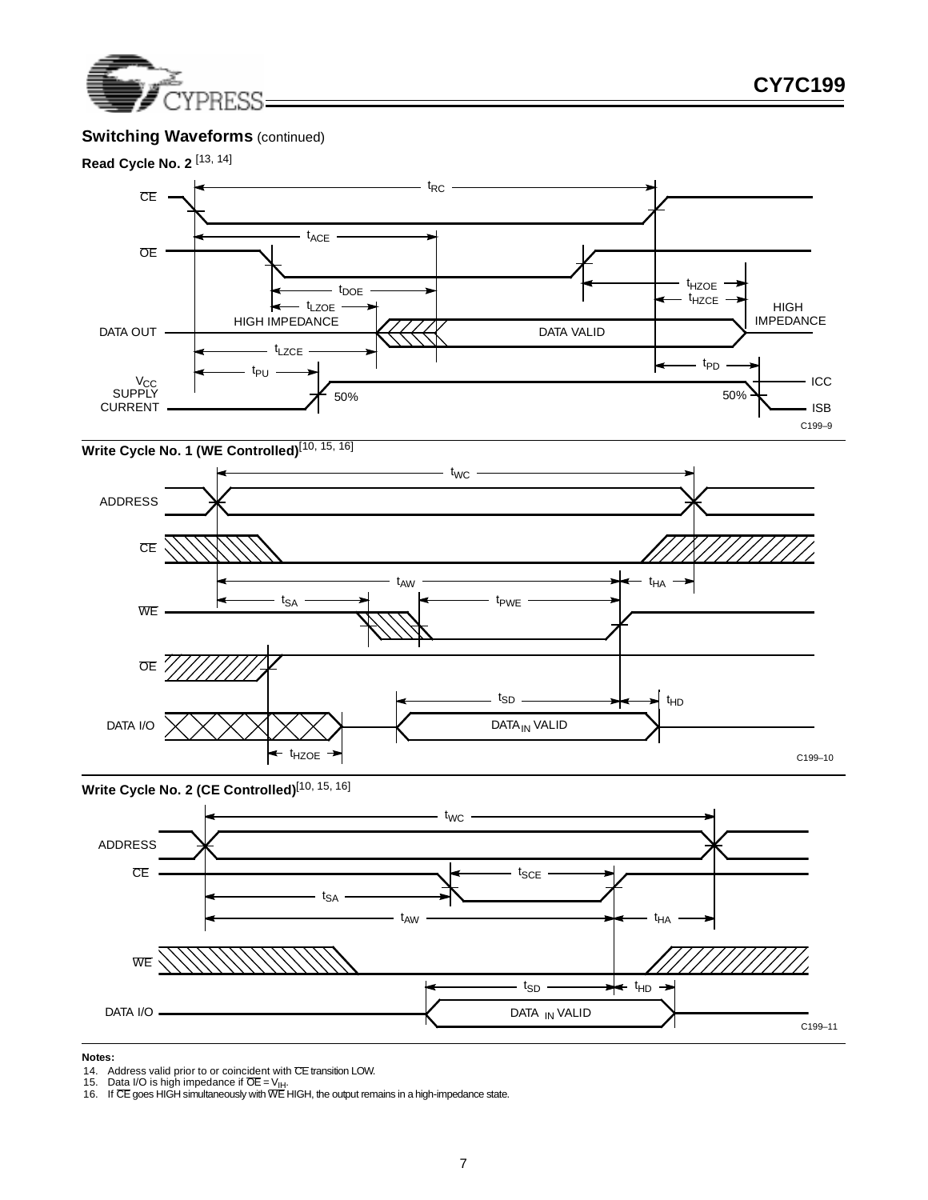

# **Switching Waveforms** (continued)



# **Write Cycle No. 1 (WE Controlled)**[10, 15, 16]



Write Cycle No. 2 (CE Controlled)<sup>[10, 15, 16]</sup>



#### **Notes:**

<sup>14.</sup> Address valid prior to or coincident with CE transition LOW.<br>15. Data I/O is high impedance if OE = V<sub>IH</sub>.<br>16. If CE goes HIGH simultaneously with WE HIGH, the output remains in a high-impedance state.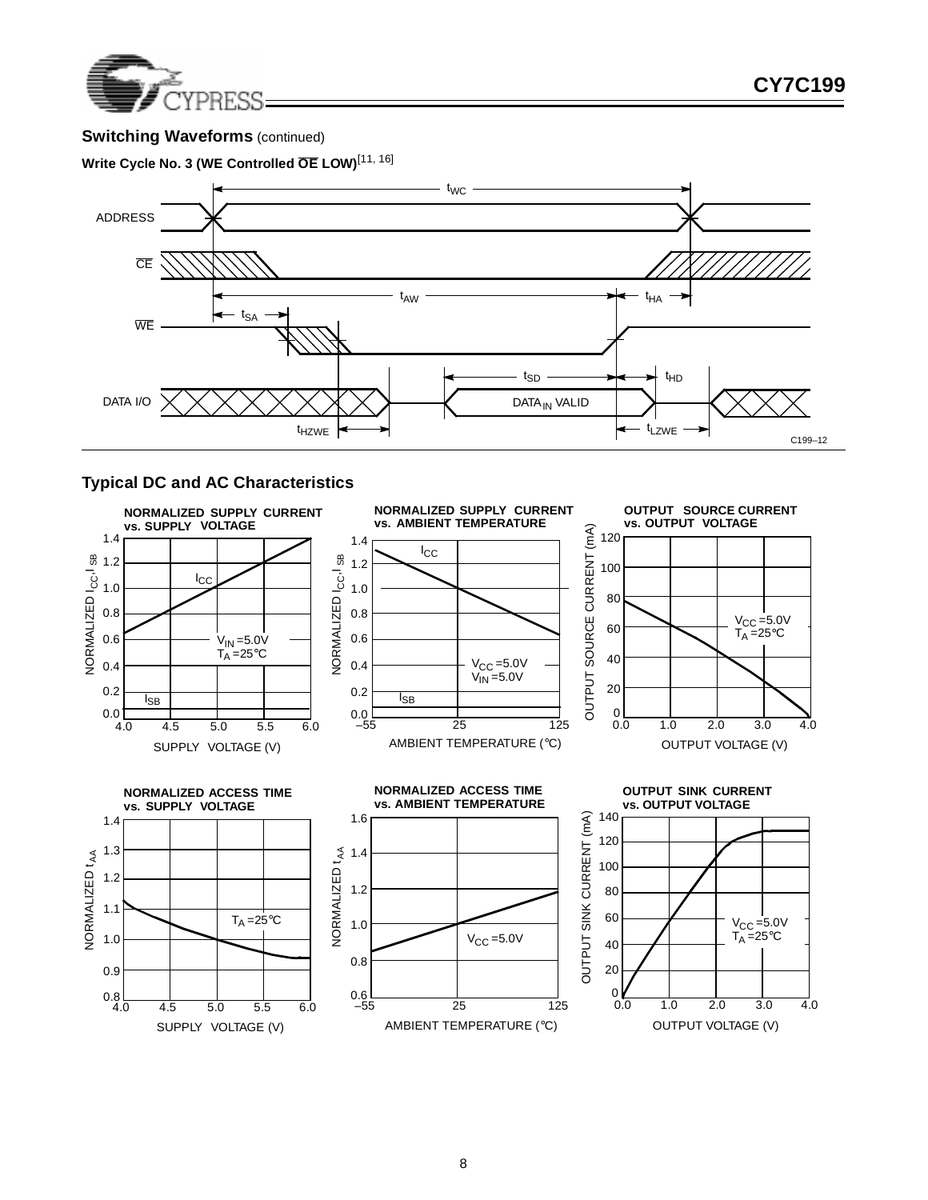

# **Switching Waveforms** (continued)





# **Typical DC and AC Characteristics**

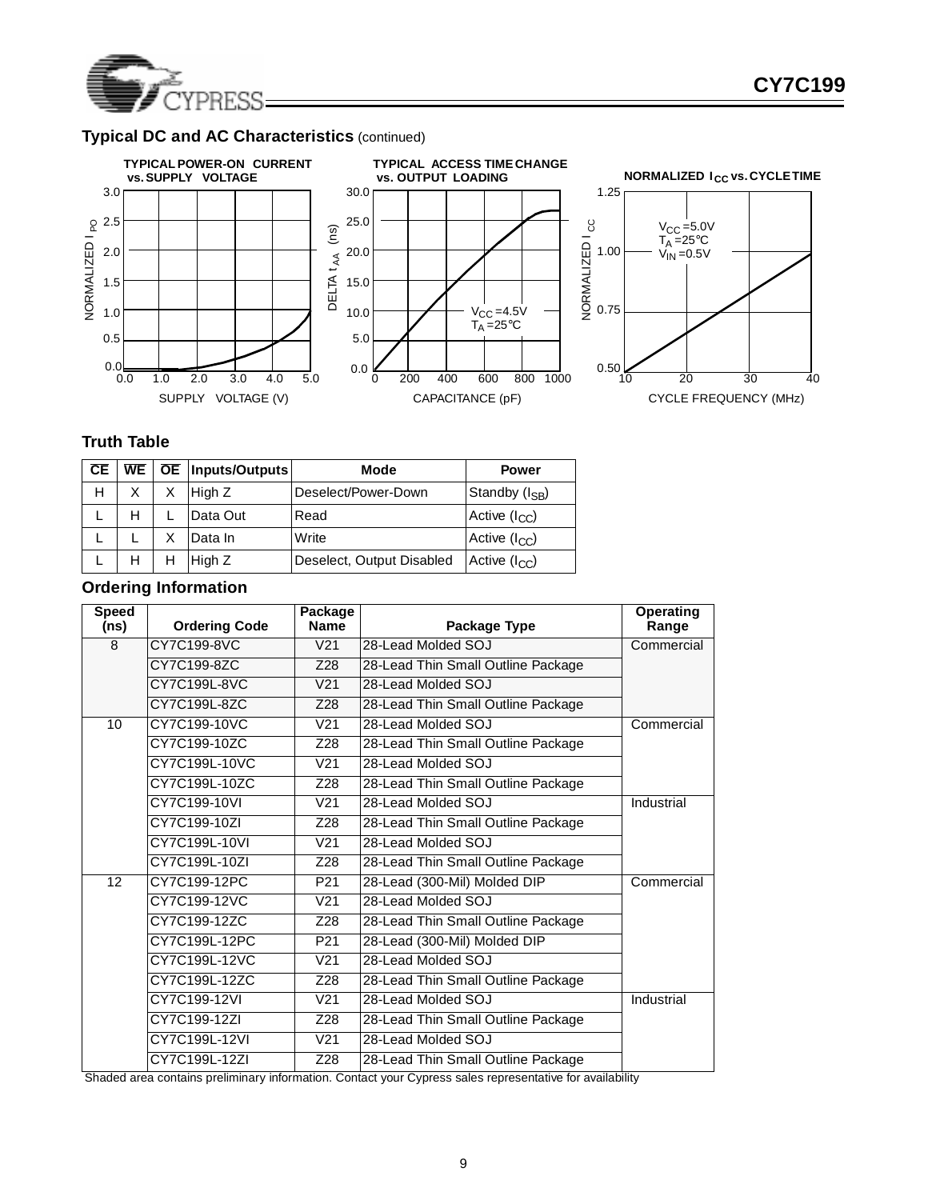

# **Typical DC and AC Characteristics** (continued)







# **Truth Table**

| CE |   | WE   OE   Inputs/Outputs | Mode                      | <b>Power</b>               |
|----|---|--------------------------|---------------------------|----------------------------|
| н  | X | High Z                   | Deselect/Power-Down       | Standby (I <sub>SB</sub> ) |
|    |   | Data Out                 | Read                      | Active $(I_{CC})$          |
|    |   | Data In                  | Write                     | Active $(I_{CC})$          |
|    |   | High Z                   | Deselect, Output Disabled | Active $(I_{CC})$          |

# **Ordering Information**

| <b>Speed</b><br>(ns) | <b>Ordering Code</b> | Package<br><b>Name</b> | Package Type                       | Operating<br>Range |
|----------------------|----------------------|------------------------|------------------------------------|--------------------|
| 8                    | CY7C199-8VC          | V <sub>21</sub>        | 28-Lead Molded SOJ                 | Commercial         |
|                      | CY7C199-8ZC          | Z28                    | 28-Lead Thin Small Outline Package |                    |
|                      | CY7C199L-8VC         | V <sub>21</sub>        | 28-Lead Molded SOJ                 |                    |
|                      | CY7C199L-8ZC         | Z28                    | 28-Lead Thin Small Outline Package |                    |
| 10                   | CY7C199-10VC         | V <sub>21</sub>        | 28-Lead Molded SOJ                 | Commercial         |
|                      | CY7C199-10ZC         | Z28                    | 28-Lead Thin Small Outline Package |                    |
|                      | CY7C199L-10VC        | V <sub>21</sub>        | 28-Lead Molded SOJ                 |                    |
|                      | CY7C199L-10ZC        | Z28                    | 28-Lead Thin Small Outline Package |                    |
|                      | CY7C199-10VI         | V <sub>21</sub>        | 28-Lead Molded SOJ                 | Industrial         |
|                      | CY7C199-10ZI         | Z28                    | 28-Lead Thin Small Outline Package |                    |
|                      | CY7C199L-10VI        | V <sub>21</sub>        | 28-Lead Molded SOJ                 |                    |
|                      | CY7C199L-10ZI        | Z28                    | 28-Lead Thin Small Outline Package |                    |
| 12                   | CY7C199-12PC         | P <sub>21</sub>        | 28-Lead (300-Mil) Molded DIP       | Commercial         |
|                      | CY7C199-12VC         | V <sub>21</sub>        | 28-Lead Molded SOJ                 |                    |
|                      | CY7C199-12ZC         | Z28                    | 28-Lead Thin Small Outline Package |                    |
|                      | CY7C199L-12PC        | P <sub>21</sub>        | 28-Lead (300-Mil) Molded DIP       |                    |
|                      | CY7C199L-12VC        | V <sub>21</sub>        | 28-Lead Molded SOJ                 |                    |
|                      | CY7C199L-12ZC        | Z28                    | 28-Lead Thin Small Outline Package |                    |
|                      | CY7C199-12VI         | V <sub>21</sub>        | 28-Lead Molded SOJ                 | Industrial         |
|                      | CY7C199-12ZI         | Z28                    | 28-Lead Thin Small Outline Package |                    |
|                      | CY7C199L-12VI        | V <sub>21</sub>        | 28-Lead Molded SOJ                 |                    |
|                      | CY7C199L-12ZI        | Z28                    | 28-Lead Thin Small Outline Package |                    |

Shaded area contains preliminary information. Contact your Cypress sales representative for availability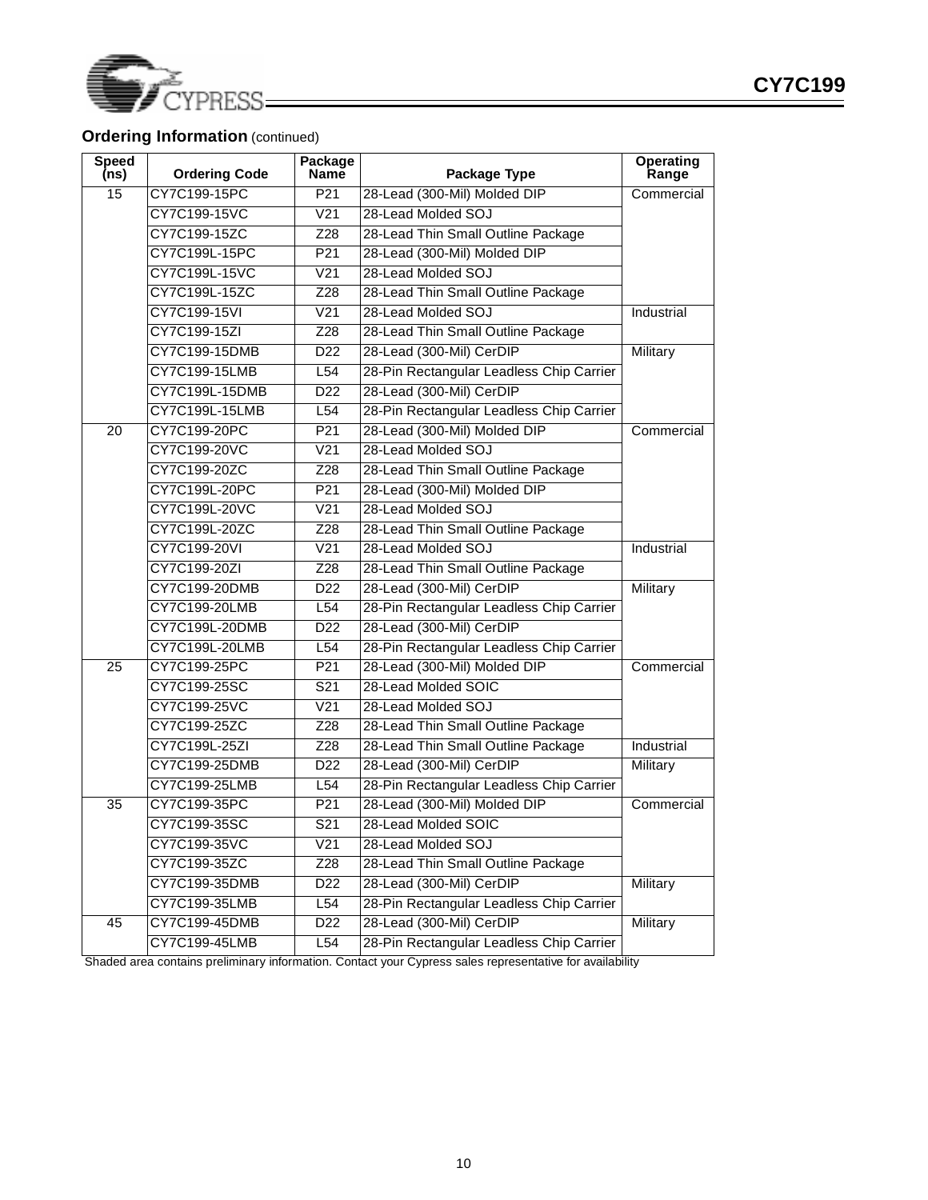

# **Ordering Information** (continued)

| <b>Speed</b><br>(ns) | <b>Ordering Code</b> | Package<br><b>Name</b> | Package Type                             | Operating<br>Range |
|----------------------|----------------------|------------------------|------------------------------------------|--------------------|
| 15                   | CY7C199-15PC         | P <sub>21</sub>        | 28-Lead (300-Mil) Molded DIP             | Commercial         |
|                      | CY7C199-15VC         | $\overline{V21}$       | 28-Lead Molded SOJ                       |                    |
|                      | CY7C199-15ZC         | Z28                    | 28-Lead Thin Small Outline Package       |                    |
|                      | CY7C199L-15PC        | P21                    | 28-Lead (300-Mil) Molded DIP             |                    |
|                      | CY7C199L-15VC        | V <sub>21</sub>        | 28-Lead Molded SOJ                       |                    |
|                      | CY7C199L-15ZC        | Z28                    | 28-Lead Thin Small Outline Package       |                    |
|                      | CY7C199-15VI         | $\overline{V21}$       | 28-Lead Molded SOJ                       | Industrial         |
|                      | CY7C199-15ZI         | Z28                    | 28-Lead Thin Small Outline Package       |                    |
|                      | CY7C199-15DMB        | D <sub>22</sub>        | 28-Lead (300-Mil) CerDIP                 | Military           |
|                      | CY7C199-15LMB        | L <sub>54</sub>        | 28-Pin Rectangular Leadless Chip Carrier |                    |
|                      | CY7C199L-15DMB       | D <sub>22</sub>        | 28-Lead (300-Mil) CerDIP                 |                    |
|                      | CY7C199L-15LMB       | L <sub>54</sub>        | 28-Pin Rectangular Leadless Chip Carrier |                    |
| 20                   | CY7C199-20PC         | P <sub>21</sub>        | 28-Lead (300-Mil) Molded DIP             | Commercial         |
|                      | CY7C199-20VC         | $\overline{V21}$       | 28-Lead Molded SOJ                       |                    |
|                      | CY7C199-20ZC         | Z28                    | 28-Lead Thin Small Outline Package       |                    |
|                      | CY7C199L-20PC        | P21                    | 28-Lead (300-Mil) Molded DIP             |                    |
|                      | CY7C199L-20VC        | V <sub>21</sub>        | 28-Lead Molded SOJ                       |                    |
|                      | CY7C199L-20ZC        | Z28                    | 28-Lead Thin Small Outline Package       |                    |
|                      | CY7C199-20VI         | $\overline{V21}$       | 28-Lead Molded SOJ                       | Industrial         |
|                      | CY7C199-20ZI         | Z28                    | 28-Lead Thin Small Outline Package       |                    |
|                      | CY7C199-20DMB        | D <sub>22</sub>        | 28-Lead (300-Mil) CerDIP                 | Military           |
|                      | CY7C199-20LMB        | L <sub>54</sub>        | 28-Pin Rectangular Leadless Chip Carrier |                    |
|                      | CY7C199L-20DMB       | D <sub>22</sub>        | 28-Lead (300-Mil) CerDIP                 |                    |
|                      | CY7C199L-20LMB       | L <sub>54</sub>        | 28-Pin Rectangular Leadless Chip Carrier |                    |
| 25                   | CY7C199-25PC         | P <sub>21</sub>        | 28-Lead (300-Mil) Molded DIP             | Commercial         |
|                      | CY7C199-25SC         | $\overline{S21}$       | 28-Lead Molded SOIC                      |                    |
|                      | CY7C199-25VC         | $\overline{V21}$       | 28-Lead Molded SOJ                       |                    |
|                      | CY7C199-25ZC         | Z28                    | 28-Lead Thin Small Outline Package       |                    |
|                      | CY7C199L-25ZI        | Z28                    | 28-Lead Thin Small Outline Package       | Industrial         |
|                      | CY7C199-25DMB        | D <sub>22</sub>        | 28-Lead (300-Mil) CerDIP                 | Military           |
|                      | CY7C199-25LMB        | L54                    | 28-Pin Rectangular Leadless Chip Carrier |                    |
| 35                   | CY7C199-35PC         | P <sub>21</sub>        | 28-Lead (300-Mil) Molded DIP             | Commercial         |
|                      | CY7C199-35SC         | $\overline{S21}$       | 28-Lead Molded SOIC                      |                    |
|                      | CY7C199-35VC         | V <sub>21</sub>        | 28-Lead Molded SOJ                       |                    |
|                      | CY7C199-35ZC         | Z28                    | 28-Lead Thin Small Outline Package       |                    |
|                      | CY7C199-35DMB        | D <sub>22</sub>        | 28-Lead (300-Mil) CerDIP                 | Military           |
|                      | CY7C199-35LMB        | L54                    | 28-Pin Rectangular Leadless Chip Carrier |                    |
| 45                   | CY7C199-45DMB        | D22                    | 28-Lead (300-Mil) CerDIP                 | <b>Military</b>    |
|                      | CY7C199-45LMB        | L54                    | 28-Pin Rectangular Leadless Chip Carrier |                    |

Shaded area contains preliminary information. Contact your Cypress sales representative for availability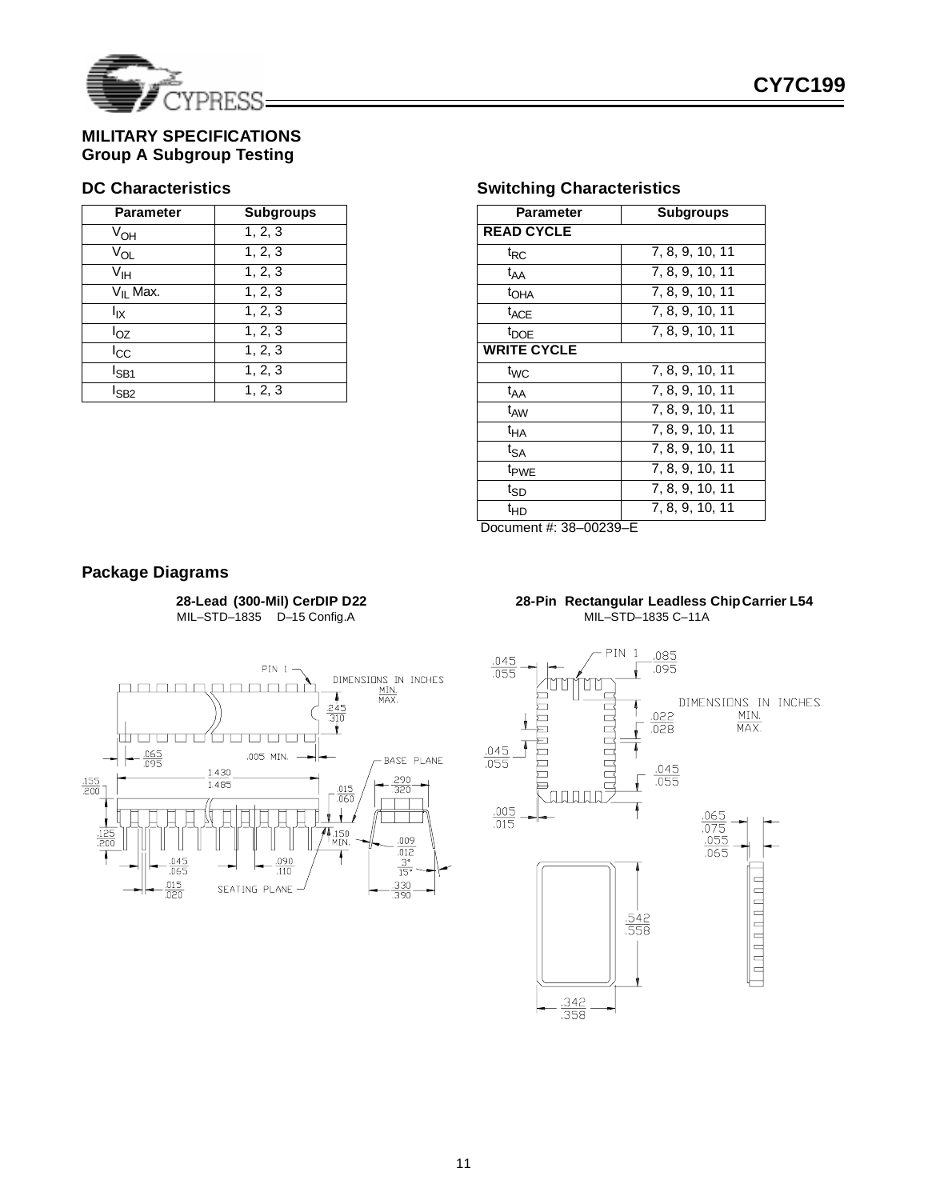

# **MILITARY SPECIFICATIONS Group A Subgroup Testing**

# **DC Characteristics**

| <b>Parameter</b>     | <b>Subgroups</b> |
|----------------------|------------------|
| $V_{OH}$             | 1, 2, 3          |
| $V_{OL}$             | 1, 2, 3          |
| V <sub>IH</sub>      | 1, 2, 3          |
| V <sub>II</sub> Max. | 1, 2, 3          |
| lιχ                  | 1, 2, 3          |
| $I_{OZ}$             | 1, 2, 3          |
| $I_{\rm CC}$         | 1, 2, 3          |
| l <sub>SB1</sub>     | 1, 2, 3          |
| l <sub>SB2</sub>     | 1, 2, 3          |

# **Switching Characteristics**

| Parameter          | <b>Subgroups</b>              |  |  |  |
|--------------------|-------------------------------|--|--|--|
| <b>READ CYCLE</b>  |                               |  |  |  |
| $t_{RC}$           | 7, 8, 9, 10, 11               |  |  |  |
| $t_{AA}$           | 7, 8, 9, 10, 11               |  |  |  |
| t <sub>OHA</sub>   | 7, 8, 9, 10, 11               |  |  |  |
| t <sub>ACE</sub>   | 7, 8, 9, 10, 11               |  |  |  |
| $t_{\text{DOE}}$   | 7, 8, 9, 10, 11               |  |  |  |
| <b>WRITE CYCLE</b> |                               |  |  |  |
| t <sub>WC</sub>    | 7, 8, 9, 10, 11               |  |  |  |
| $t_{AA}$           | $\overline{7, 8, 9}$ , 10, 11 |  |  |  |
| t <sub>AW</sub>    | 7, 8, 9, 10, 11               |  |  |  |
| tна                | 7, 8, 9, 10, 11               |  |  |  |
| $t_{SA}$           | 7, 8, 9, 10, 11               |  |  |  |
| t <sub>PWE</sub>   | 7, 8, 9, 10, 11               |  |  |  |
| tsp                | 7, 8, 9, 10, 11               |  |  |  |
| $t_{HD}$           | 7, 8, 9, 10, 11               |  |  |  |

Document #: 38–00239–E

### **Package Diagrams**

**28-Lead (300-Mil) CerDIP D22** MIL–STD–1835 D–15 Config.A



#### **28-Pin Rectangular Leadless ChipCarrier L54** MIL–STD–1835 C–11A

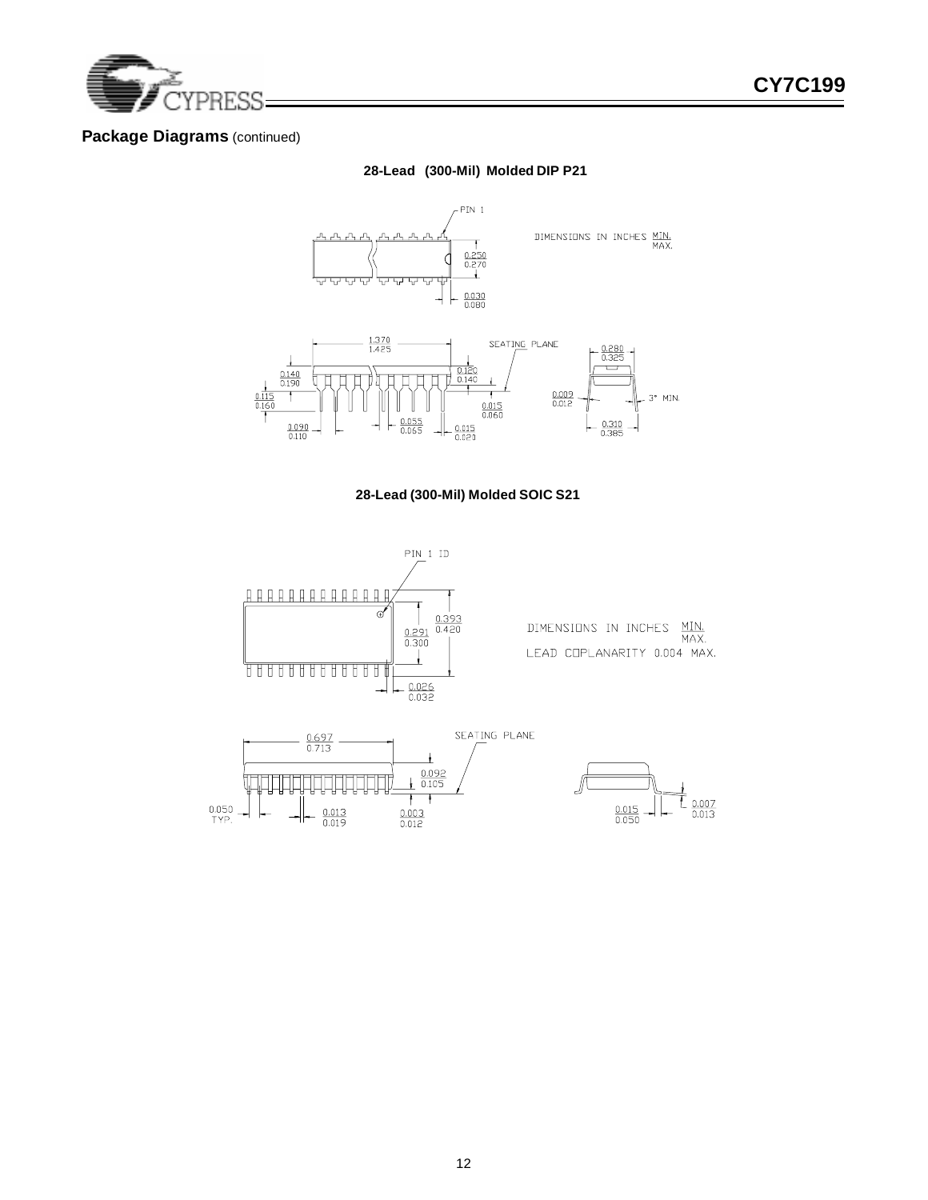

### **Package Diagrams** (continued)

### **28-Lead (300-Mil) Molded DIP P21**